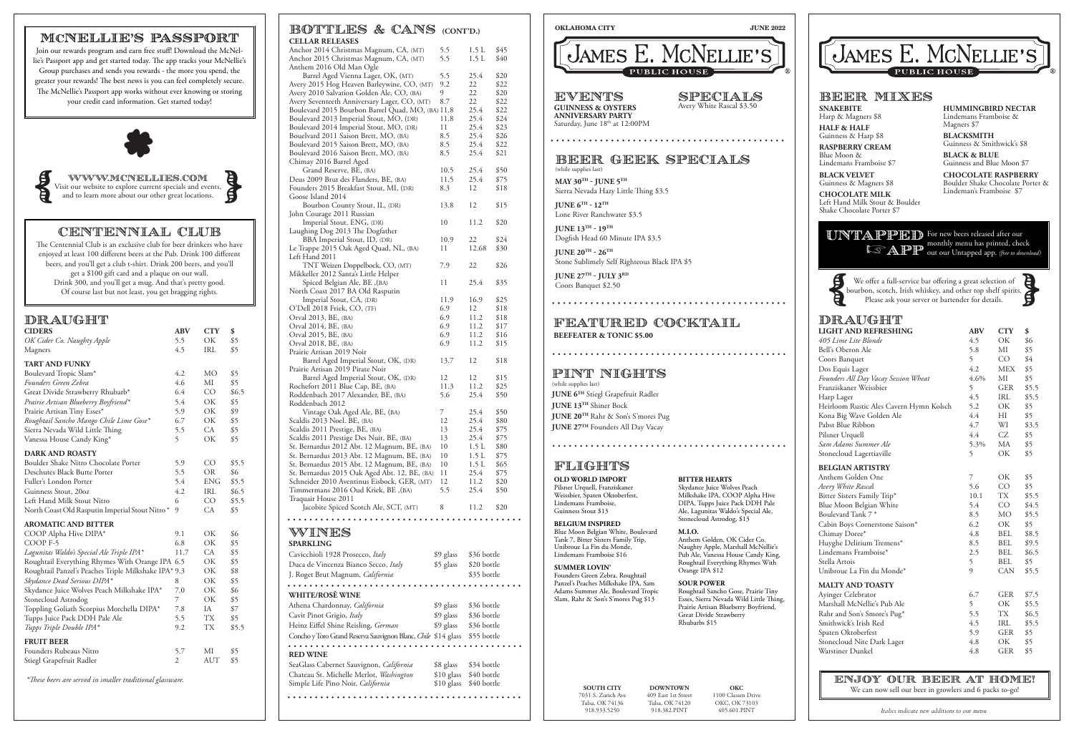#### DRAUGHT **LIGHT AND REFRESHING ABV CTY \$**

SPECIALS Avery White Rascal \$3.50 **SNAKEBITE** 

| LIGHT AIND REFRESHIING                  | AD V | <b>UII</b>     | Φ     |
|-----------------------------------------|------|----------------|-------|
| 405 Lime Lite Blonde                    | 4.5  | ОK             | \$6   |
| Bell's Oberon Ale                       | 5.8  | MI             | \$5   |
| Coors Banquet                           | 5    | C <sub>O</sub> | \$4   |
| Dos Equis Lager                         | 4.2  | <b>MEX</b>     | \$5   |
| Founders All Day Vacay Session Wheat    | 4.6% | MI             | \$5   |
| Franziskaner Weissbier                  | 5    | <b>GER</b>     | \$5.5 |
| Harp Lager                              | 4.5  | IRL            | \$5.5 |
| Heirloom Rustic Ales Cavern Hymn Kolsch | 5.2  | ОK             | \$5   |
| Kona Big Wave Golden Ale                | 4.4  | НI             | \$5   |
| Pabst Blue Ribbon                       | 4.7  | WI             | \$3.5 |
| Pilsner Urquell                         | 4.4  | CZ             | \$5   |
| Sam Adams Summer Ale                    | 5.3% | МA             | \$5   |
| Stonecloud Lagertiaville                | 5    | OK             | \$5   |
| <b>BELGIAN ARTISTRY</b>                 |      |                |       |
| Anthem Golden One                       | 7    | ОK             | \$5   |
| Avery White Rascal                      | 5.6  | CO             | \$5   |
| Bitter Sisters Family Trip*             | 10.1 | TX             | \$5.5 |
| Blue Moon Belgian White                 | 5.4  | CO             | \$4.5 |
| Boulevard Tank 7 *                      | 8.5  | MO             | \$5.5 |
| Cabin Boys Cornerstone Saison*          | 6.2  | ОK             | \$5   |
| Chimay Doree*                           | 4.8  | <b>BEL</b>     | \$8.5 |
| Huyghe Delirium Tremens*                | 8.5  | BEL            | \$9.5 |
| Lindemans Framboise*                    | 2.5  | <b>BEL</b>     | \$6.5 |
| Stella Artois                           | 5    | BEL            | \$5   |
| Unibroue La Fin du Monde*               | 9    | <b>CAN</b>     | \$5.5 |
| <b>MALTY AND TOASTY</b>                 |      |                |       |
| Ayinger Celebrator                      | 6.7  | <b>GER</b>     | \$7.5 |
| Marshall McNellie's Pub Ale             | 5    | ОK             | \$5.5 |
| Rahr and Son's Smore's Pug*             | 5.5  | TX             | \$6.5 |
| Smithwick's Irish Red                   | 4.5  | IRL            | \$5.5 |
| Spaten Oktoberfest                      | 5.9  | GER            | \$5   |
| Stonecloud Nite Dark Lager              | 4.8  | OK.            | \$5   |
| Warstiner Dunkel                        | 4.8  | <b>GER</b>     | \$5   |
|                                         |      |                |       |

We offer a full-service bar offering a great selection of bourbon, scotch, Irish whiskey, and other top shelf spirits. We offer a full-service bar offering a great selection of<br>bourbon, scotch, Irish whiskey, and other top shelf spirits.<br>Please ask your server or bartender for details.



WWW.MCNELLIES.com WWW.MCNELLIES.COM<br>Visit our website to explore current specials and events, and to learn more about our other great locations.



| BOTTLES & CANS                                    | (CONT'D.) |             |      |
|---------------------------------------------------|-----------|-------------|------|
| <b>CELLAR RELEASES</b>                            |           |             |      |
| Anchor 2014 Christmas Magnum, CA, (MT)            | 5.5       | 1.5L        | \$45 |
| Anchor 2015 Christmas Magnum, CA, (MT)            | 5.5       | 1.5L        | \$40 |
| Anthem 2016 Old Man Ogle                          |           |             |      |
| Barrel Aged Vienna Lager, OK, (MT)                | 5.5       | 25.4        | \$20 |
| Avery 2015 Hog Heaven Barleywine, CO, (MT)        | 9.2       | 22          | \$22 |
| Avery 2010 Salvation Golden Ale, CO, (BA)         | 9         | 22          | \$20 |
| Avery Seventeeth Anniversary Lager, CO, (MT)      | 8.7       | 22          | \$22 |
| Boulevard 2015 Bourbon Barrel Quad, MO, (BA) 11.8 |           | 25.4        | \$22 |
| Boulevard 2013 Imperial Stout, MO, (DR)           | 11.8      | 25.4        | \$24 |
| Boulevard 2014 Imperial Stout, MO, (DR)           | 11        | 25.4        | \$23 |
| Bouelvard 2011 Saison Brett, MO, (BA)             | 8.5       | 25.4        | \$26 |
| Boulevard 2015 Saison Brett, MO, (BA)             | 8.5       | 25.4        | \$22 |
| Boulevard 2016 Saison Brett, MO, (BA)             | 8.5       | 25.4        | \$21 |
| Chimay 2016 Barrel Aged                           |           |             |      |
| Grand Reserve, BE, (BA)                           | 10.5      | 25.4        | \$50 |
| Deus 2009 Brut des Flanders, BE, (BA)             | 11.5      | 25.4        | \$75 |
| Founders 2015 Breakfast Stout, MI, (DR)           | 8.3       | 12          | \$18 |
| Goose Island 2014                                 |           |             |      |
| Bourbon County Stout, IL, (DR)                    | 13.8      | 12          | \$15 |
| John Courage 2011 Russian                         |           |             |      |
| Imperial Stout. ENG, (DR)                         | 10        | 11.2        | \$20 |
| Laughing Dog 2013 The Dogfather                   |           |             |      |
| BBA Imperial Stout, ID, (DR)                      | 10.9      | 22          | \$24 |
| Le Trappe 2015 Oak Aged Quad, NL, (BA)            | 11        | 12.68       | \$30 |
| Left Hand 2011                                    |           |             |      |
| TNT Weizen Doppelbock, CO, (MT)                   | 7.9       | 22          | \$26 |
| Mikkeller 2012 Santa's Little Helper              |           |             |      |
| Spiced Belgian Ale, BE , (BA)                     | 11        | 25.4        | \$35 |
| North Coast 2017 BA Old Rasputin                  |           |             |      |
| Imperial Stout, CA, (DR)                          | 11.9      | 16.9        | \$25 |
| O'Dell 2018 Friek, CO, (TF)                       | 6.9       | 12          | \$18 |
| Orval 2013, BE, (BA)                              | 6.9       | 11.2        | \$18 |
| Orval 2014, BE, (BA)                              | 6.9       | 11.2        | \$17 |
| Orval 2015, BE, (BA)                              | 6.9       | 11.2        | \$16 |
| Orval 2018, BE, (BA)                              | 6.9       | 11.2        | \$15 |
| Prairie Artisan 2019 Noir                         |           |             |      |
| Barrel Aged Imperial Stout, OK, (DR)              | 13.7      | 12          | \$18 |
| Prairie Artisan 2019 Pirate Noir                  |           |             |      |
| Barrel Aged Imperial Stout, OK, (DR)              | 12        | 12          | \$15 |
| Rochefort 2011 Blue Cap, BE, (BA)                 | 11.3      | 11.2        | \$25 |
| Roddenbach 2017 Alexander, BE, (BA)               | 5.6       | 25.4        | \$50 |
| Roddenbach 2012                                   |           |             |      |
| Vintage Oak Aged Ale, BE, (BA)                    | 7         | 25.4        | \$50 |
| Scaldis 2013 Noel. BE, (BA)                       | 12        | 25.4        | \$80 |
| Scaldis 2011 Prestige, BE, (BA)                   | 13        | 25.4        | \$75 |
| Scaldis 2011 Prestige Des Nuit, BE, (BA)          | 13        | 25.4        | \$75 |
| St. Bernardus 2012 Abt. 12 Magnum, BE, (BA)       | 10        | 1.5L        | \$80 |
| St. Bernardus 2013 Abt. 12 Magnum, BE, (BA)       | 10        | 1.5L        | \$75 |
| St. Bernardus 2015 Abt. 12 Magnum, BE, (BA)       | 10        | 1.5L        | \$65 |
| St. Bernardus 2015 Oak Aged Abt. 12, BE, (BA)     | 11        | 25.4        | \$75 |
| Schneider 2010 Aventinus Eisbock, GER, (MT)       | 12        | 11.2        | \$20 |
| (BA), Timmermans 2016 Oud Kriek, BE               | 5.5       | 25.4        | \$50 |
| Traquair House 2011                               |           |             |      |
| Jacobite Spiced Scotch Ale, SCT, (MT)             | 8         | 11.2        | \$20 |
|                                                   |           |             |      |
|                                                   |           |             |      |
| WINES                                             |           |             |      |
| <b>SPARKLING</b>                                  |           |             |      |
| Cavicchioli 1928 Prosecco, Italy                  | \$9 glass | \$36 bottle |      |
| Duca de Vincenza Bianco Secco, Italy              | \$5 glass | \$20 bottle |      |

Athena Chardonnay, *California* \$9 glass \$36 bottle<br>
Cavit Pinot Grigio, *Italy* \$9 glass \$36 bottle Cavit Pinot Grigio, *Italy* \$9 glass \$36 bottle<br>Heinz Eiffel Shine Reisling, *German* \$9 glass \$36 bottle

## DRAUGHT

SeaGlass Cabernet Sauvignon, *California* \$8 glass \$34 bottle Chateau St. Michelle Merlot, *Washington* \$10 glass \$40 bottle

Concho y Toro Grand Reserva Sauvignon Blanc, *Chile* \$14 glass \$55 bottle

ENJOY OUR BEER AT HOME! We can now sell our beer in growlers and 6 packs to-go!

## EATURED COCKTAIL **BEATER & TONIC \$5.00**

| <b>CIDERS</b>                                        | <b>ABV</b>     | <b>CTY</b>      | \$    |
|------------------------------------------------------|----------------|-----------------|-------|
| OK Cider Co. Naughty Apple                           | 5.5            | OK              | \$5   |
| Magners                                              | 4.5            | <b>IRL</b>      | \$5   |
| <b>TART AND FUNKY</b>                                |                |                 |       |
| Boulevard Tropic Slam*                               | 4.2            | МO              | \$5   |
| Founders Green Zebra                                 | 4.6            | MI              | \$5   |
| Great Divide Strawberry Rhubarb*                     | 6.4            | CO              | \$6.5 |
| Prairie Artisan Blueberry Boyfriend*                 | 5.4            | OK              | \$5   |
| Prairie Artisan Tiny Esses*                          | 5.9            | OK              | \$9   |
| Roughtail Sancho Mango Chile Lime Gose*              | 6.7            | OK              | \$5   |
| Sierra Nevada Wild Little Thing                      | 5.5            | <b>CA</b>       | \$5   |
| Vanessa House Candy King*                            | 5              | OK              | \$5   |
| <b>DARK AND ROASTY</b>                               |                |                 |       |
| Boulder Shake Nitro Chocolate Porter                 | 5.9            | CO <sup>-</sup> | \$5.5 |
| Deschutes Black Butte Porter                         | 5.5            | <b>OR</b>       | \$6   |
| Fuller's London Porter                               | 5.4            | <b>ENG</b>      | \$5.5 |
| Guinness Stout, 20oz                                 | 4.2            | <b>IRL</b>      | \$6.5 |
| Left Hand Milk Stout Nitro                           | 6              | CO              | \$5.5 |
| North Coast Old Rasputin Imperial Stout Nitro*       | $\mathbf Q$    | CA              | \$5   |
| <b>AROMATIC AND BITTER</b>                           |                |                 |       |
| COOP Alpha Hive DIPA*                                | 9.1            | ОK              | \$6   |
| COOP <sub>F-5</sub>                                  | 6.8            | ОK              | \$5   |
| Lagunitas Waldo's Special Ale Triple IPA*            | 11.7           | CA              | \$5   |
| Roughtail Everything Rhymes With Orange IPA 6.5      |                | ОK              | \$5   |
| Roughtail Panzel's Peaches Triple Milkshake IPA* 9.3 |                | ОK              | \$8   |
| Skydance Dead Serious DIPA*                          | 8              | ОK              | \$5   |
| Skydance Juice Wolves Peach Milkshake IPA*           | 7.0            | ОK              | \$6   |
| Stonecloud Astrodog                                  | 7              | OK              | \$5   |
| Toppling Goliath Scorpius Morchella DIPA*            | 7.8            | <b>IA</b>       | \$7   |
| Tupps Juice Pack DDH Pale Ale                        | 5.5            | <b>TX</b>       | \$5   |
| Tupps Triple Double IPA*                             | 9.2            | <b>TX</b>       | \$5.5 |
| <b>FRUIT BEER</b>                                    |                |                 |       |
| Founders Rubeaus Nitro                               | 5.7            | MI              | \$5   |
| Stiegl Grapefruit Radler                             | $\overline{2}$ | <b>AUT</b>      | \$5   |
|                                                      |                |                 |       |

 *\*These beers are served in smaller traditional glassware.*

*Italics indicate new additions to our menu*

### **OKLAHOMA CITY JUNE 2022**



Harp & Magners \$8 **HALF & HALF**  Guinness & Harp \$8

**RASPBERRY CREAM** Blue Moon &

Lindemans Framboise \$7 **BLACK VELVET** 

Guinness & Magners \$8 **CHOCOLATE MILK** Left Hand Milk Stout & Boulder Shake Chocolate Porter \$7

**HUMMINGBIRD NECTAR** Lindemans Framboise & Magners \$7

**BLACKSMITH** Guinness & Smithwick's \$8

**BLACK & BLUE** Guinness and Blue Moon \$7

**CHOCOLATE RASPBERRY** Boulder Shake Chocolate Porter & Lindeman's Framboise \$7

UNTAPPED For new beers released after our monthly menu has printed, check out our Untapped app. *(free to download)* **LAPP** 



# BEER MIXES

## CENTENNIAL CLUB

The Centennial Club is an exclusive club for beer drinkers who have enjoyed at least 100 different beers at the Pub. Drink 100 different beers, and you'll get a club t-shirt. Drink 200 beers, and you'll get a \$100 gift card and a plaque on our wall. Drink 300, and you'll get a mug. And that's pretty good. Of course last but not least, you get bragging rights.

## MCNELLIE'S PASSPORT

Join our rewards program and earn free stuff! Download the McNellie's Passport app and get started today. The app tracks your McNellie's Group purchases and sends you rewards - the more you spend, the greater your rewards! The best news is you can feel completely secure. The McNellie's Passport app works without ever knowing or storing your credit card information. Get started today!



**SOUTH CITY**  7031 S. Zurich Ave Tulsa, OK 74136 918.933.5250

**DOWNTOWN**  409 East 1st Street Tulsa, OK 74120 918.382.PINT

**OKC** 1100 Classen Drive OKC, OK 73103 405.601.PINT

# JAMES E. MCNELLIE'S

**WHITE/ROSĚ WINE**

. . . . . . . . . . . . . . . .

**RED WINE**

Heinz Eiffel Shine Reisling, *German* 

| <b>CELLAR RELEASES</b>                                           |              |              |              |                                                                    |
|------------------------------------------------------------------|--------------|--------------|--------------|--------------------------------------------------------------------|
| Anchor 2014 Christmas Magnum, CA, (MT)                           | 5.5          | 1.5L         | \$45         |                                                                    |
| Anchor 2015 Christmas Magnum, CA, (MT)                           | 5.5          | 1.5L         | \$40         | (JAMES E. MCNELLIE'S)                                              |
| Anthem 2016 Old Man Ogle                                         |              |              |              | <b>PUBLIC HOUSE</b>                                                |
| Barrel Aged Vienna Lager, OK, (MT)                               | 5.5          | 25.4         | \$20         |                                                                    |
| Avery 2015 Hog Heaven Barleywine, CO, (MT)                       | 9.2          | 22           | \$22         |                                                                    |
| Avery 2010 Salvation Golden Ale, CO, (BA)                        | 9            | 22           | \$20         | EVENTS<br>SPECIALS                                                 |
| Avery Seventeeth Anniversary Lager, CO, (MT)                     | 8.7          | 22           | \$22         | Avery White Rascal \$3.50<br><b>GUINNESS &amp; OYSTERS</b>         |
| Boulevard 2015 Bourbon Barrel Quad, MO, (BA) 11.8                |              | 25.4         | \$22         | <b>ANNIVERSARY PARTY</b>                                           |
| Boulevard 2013 Imperial Stout, MO, (DR)                          | 11.8         | 25.4         | \$24         | Saturday, June 18th at 12:00PM                                     |
| Boulevard 2014 Imperial Stout, MO, (DR)                          | 11           | 25.4         | \$23         |                                                                    |
| Bouelvard 2011 Saison Brett, MO, (BA)                            | 8.5          | 25.4         | \$26         |                                                                    |
| Boulevard 2015 Saison Brett, MO, (BA)                            | 8.5          | 25.4         | \$22         |                                                                    |
| Boulevard 2016 Saison Brett, MO, (BA)                            | 8.5          | 25.4         | \$21         | BEER GEEK SPECIALS                                                 |
| Chimay 2016 Barrel Aged                                          |              |              |              | (while supplies last)                                              |
| Grand Reserve, BE, (BA)<br>Deus 2009 Brut des Flanders, BE, (BA) | 10.5<br>11.5 | 25.4<br>25.4 | \$50<br>\$75 |                                                                    |
|                                                                  | 8.3          | 12           | \$18         | MAY $30^{\text{TH}}$ - JUNE $5^{\text{TH}}$                        |
| Founders 2015 Breakfast Stout, MI, (DR)<br>Goose Island 2014     |              |              |              | Sierra Nevada Hazy Little Thing \$3.5                              |
| Bourbon County Stout, IL, (DR)                                   | 13.8         | 12           | \$15         | <b>JUNE <math>6^{TH}</math> - 12<sup>TH</sup></b>                  |
| John Courage 2011 Russian                                        |              |              |              | Lone River Ranchwater \$3.5                                        |
| Imperial Stout. ENG, (DR)                                        | 10           | 11.2         | \$20         |                                                                    |
| Laughing Dog 2013 The Dogfather                                  |              |              |              | <b>JUNE 13TH - 19TH</b>                                            |
| BBA Imperial Stout, ID, (DR)                                     | 10.9         | 22           | \$24         | Dogfish Head 60 Minute IPA \$3.5                                   |
| Le Trappe 2015 Oak Aged Quad, NL, (BA)                           | 11           | 12.68        | \$30         |                                                                    |
| Left Hand 2011                                                   |              |              |              | JUNE $20^{\text{TH}}$ - $26^{\text{TH}}$                           |
| TNT Weizen Doppelbock, CO, (MT)                                  | 7.9          | 22           | \$26         | Stone Sublimely Self Righteous Black IPA \$5                       |
| Mikkeller 2012 Santa's Little Helper                             |              |              |              | JUNE $27^{\text{TH}}$ - JULY $3^{\text{RD}}$                       |
| Spiced Belgian Ale, BE , (BA)                                    | 11           | 25.4         | \$35         | Coors Banquet \$2.50                                               |
| North Coast 2017 BA Old Rasputin                                 |              |              |              |                                                                    |
| Imperial Stout, CA, (DR)                                         | 11.9         | 16.9         | \$25         |                                                                    |
| O'Dell 2018 Friek, CO, (TF)                                      | 6.9          | 12           | \$18         |                                                                    |
| Orval 2013, BE, (BA)                                             | 6.9          | 11.2         | \$18         |                                                                    |
| Orval 2014, BE, (BA)                                             | 6.9          | 11.2         | \$17         | FEATURED COCKTAIL                                                  |
| Orval 2015, BE, (BA)                                             | 6.9          | 11.2         | \$16         | <b>BEEFEATER &amp; TONIC \$5.00</b>                                |
| Orval 2018, BE, (BA)                                             | 6.9          | 11.2         | \$15         |                                                                    |
| Prairie Artisan 2019 Noir                                        |              |              |              |                                                                    |
| Barrel Aged Imperial Stout, OK, (DR)                             | 13.7         | 12           | \$18         |                                                                    |
| Prairie Artisan 2019 Pirate Noir                                 |              |              |              |                                                                    |
| Barrel Aged Imperial Stout, OK, (DR)                             | 12           | 12           | \$15         | PINT NIGHTS                                                        |
| Rochefort 2011 Blue Cap, BE, (BA)                                | 11.3         | 11.2         | \$25         | (while supplies last)                                              |
| Roddenbach 2017 Alexander, BE, (BA)                              | 5.6          | 25.4         | \$50         | <b>JUNE 6TH Stiegl Grapefruit Radler</b>                           |
| Roddenbach 2012                                                  |              |              |              | <b>JUNE 13TH</b> Shiner Bock                                       |
| Vintage Oak Aged Ale, BE, (BA)                                   | 7.           | 25.4         | \$50         | <b>JUNE 20TH Rahr &amp; Son's S'mores Pug</b>                      |
| Scaldis 2013 Noel. BE, (BA)                                      | 12           | 25.4         | \$80         | <b>JUNE 27TH Founders All Day Vacay</b>                            |
| Scaldis 2011 Prestige, BE, (BA)                                  | 13           | 25.4         | \$75         |                                                                    |
| Scaldis 2011 Prestige Des Nuit, BE, (BA)                         | 13           | 25.4         | \$75         |                                                                    |
| St. Bernardus 2012 Abt. 12 Magnum, BE, (BA)                      | 10           | 1.5L         | \$80         |                                                                    |
| St. Bernardus 2013 Abt. 12 Magnum, BE, (BA)                      | 10           | 1.5L         | \$75         |                                                                    |
| St. Bernardus 2015 Abt. 12 Magnum, BE, (BA)                      | 10           | 1.5L         | \$65         | FLIGHTS                                                            |
| St. Bernardus 2015 Oak Aged Abt. 12, BE, (BA)                    | 11           | 25.4         | \$75         | <b>OLD WORLD IMPORT</b><br><b>BITTER HEARTS</b>                    |
| Schneider 2010 Aventinus Eisbock, GER, (MT)                      | 12           | 11.2         | \$20         | Pilsner Urquell, Franziskaner<br>Skydance Juice Wolves Peach       |
| Timmermans 2016 Oud Kriek, BE, (BA)                              | 5.5          | 25.4         | \$50         | Weissbier, Spaten Oktoberfest,<br>Milkshake IPA, COOP Alpha Hive   |
| Traquair House 2011                                              |              |              |              | Lindemans Framboise,<br>DIPA, Tupps Juice Pack DDH Pale            |
| Jacobite Spiced Scotch Ale, SCT, (MT)                            | 8            | 11.2         | \$20         | Guinness Stout \$13<br>Ale, Lagunitas Waldo's Special Ale,         |
|                                                                  |              |              |              | Stonecloud Astrodog, \$13<br><b>BELGIUM INSPIRED</b>               |
| wines                                                            |              |              |              | Blue Moon Belgian White, Boulevard<br><b>M.I.O.</b>                |
|                                                                  |              |              |              | Tank 7, Bitter Sisters Family Trip,<br>Anthem Golden, OK Cider Co. |
| <b>SPARKLING</b>                                                 |              |              |              | Unibroue La Fin du Monde,<br>Naughty Apple, Marshall McNellie's    |
| Cavicchioli 1928 Prosecco, Italy                                 | \$9 glass    | \$36 bottle  |              | Lindemans Framboise \$16<br>Pub Ale, Vanessa House Candy King,     |
| Duca de Vincenza Bianco Secco, Italy                             | \$5 glass    | \$20 bottle  |              | Roughtail Everything Rhymes With<br><b>SUMMER LOVIN'</b>           |
| J. Roget Brut Magnum, California                                 |              | \$35 bottle  |              | Orange IPA \$12<br>Founders Green Zebra, Roughtail                 |

# BEER GEEK SPECIALS

### **OLD WORLD IMPORT**

#### **SUMMER LOVIN'**

Founders Green Zebra, Roughtail Panzel's Peaches Milkshake IPA, Sam Adams Summer Ale, Boulevard Tropic Slam, Rahr & Son's S'mores Pug \$13

# **M.I.O.**

#### **SOUR POWER**

Roughtail Sancho Gose, Prairie Tiny Esses, Sierra Nevada Wild Little Thing, Prairie Artisan Blueberry Boyfriend, Great Divide Strawberry Rhubarbs \$15

# FLIGHTS